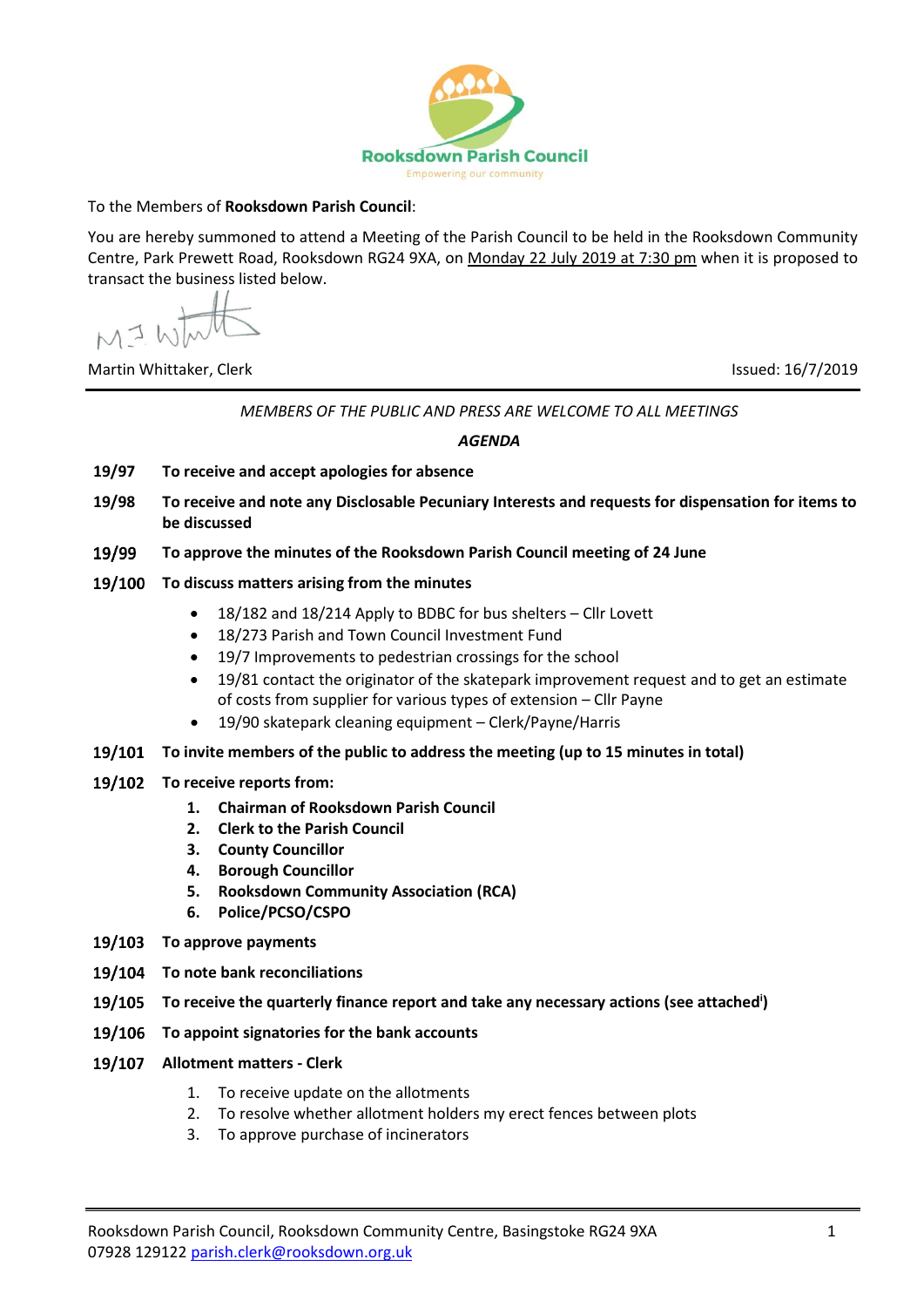

## To the Members of **Rooksdown Parish Council**:

You are hereby summoned to attend a Meeting of the Parish Council to be held in the Rooksdown Community Centre, Park Prewett Road, Rooksdown RG24 9XA, on Monday 22 July 2019 at 7:30 pm when it is proposed to transact the business listed below.

 $MJW$ 

Martin Whittaker, Clerk Issued: 16/7/2019

*MEMBERS OF THE PUBLIC AND PRESS ARE WELCOME TO ALL MEETINGS*

## *AGENDA*

- **19/97 To receive and accept apologies for absence**
- **19/98 To receive and note any Disclosable Pecuniary Interests and requests for dispensation for items to be discussed**
- 19/99 **To approve the minutes of the Rooksdown Parish Council meeting of 24 June**
- **To discuss matters arising from the minutes**
	- 18/182 and 18/214 Apply to BDBC for bus shelters Cllr Lovett
	- 18/273 Parish and Town Council Investment Fund
	- 19/7 Improvements to pedestrian crossings for the school
	- 19/81 contact the originator of the skatepark improvement request and to get an estimate of costs from supplier for various types of extension – Cllr Payne
	- 19/90 skatepark cleaning equipment Clerk/Payne/Harris
- **To invite members of the public to address the meeting (up to 15 minutes in total)**
- **To receive reports from:** 
	- **1. Chairman of Rooksdown Parish Council**
	- **2. Clerk to the Parish Council**
	- **3. County Councillor**
	- **4. Borough Councillor**
	- **5. Rooksdown Community Association (RCA)**
	- **6. Police/PCSO/CSPO**
- 19/103 To approve payments
- **To note bank reconciliations**
- **To receive the quarterly finance report and take any necessary actions (see attached<sup>i</sup> )**
- **To appoint signatories for the bank accounts**
- **Allotment matters - Clerk**
	- 1. To receive update on the allotments
	- 2. To resolve whether allotment holders my erect fences between plots
	- 3. To approve purchase of incinerators